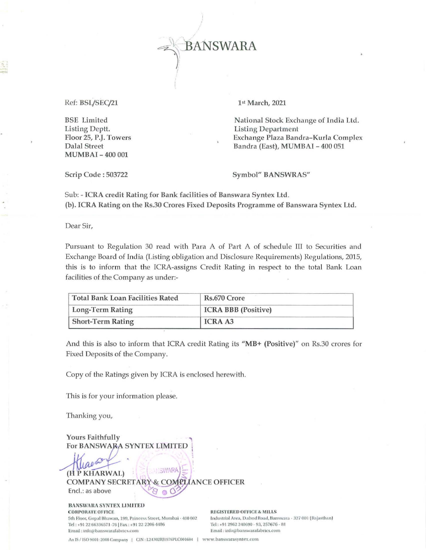

Ref: BSL/SEC/21

**BSE** Limited Listing Deptt. Floor 25, P.J. Towers **Dalal Street MUMBAI-400001** 

Scrip Code: 503722

1st March, 2021

National Stock Exchange of India Ltd. **Listing Department** Exchange Plaza Bandra-Kurla Complex Bandra (East), MUMBAI - 400 051

Symbol" BANSWRAS"

Sub: - ICRA credit Rating for Bank facilities of Banswara Syntex Ltd. (b). ICRA Rating on the Rs.30 Crores Fixed Deposits Programme of Banswara Syntex Ltd.

Dear Sir,

Pursuant to Regulation 30 read with Para A of Part A of schedule III to Securities and Exchange Board of India (Listing obligation and Disclosure Requirements) Regulations, 2015, this is to inform that the ICRA-assigns Credit Rating in respect to the total Bank Loan facilities of the Company as under:-

| Total Bank Loan Facilities Rated | Rs.670 Crore               |  |
|----------------------------------|----------------------------|--|
| Long-Term Rating                 | <b>ICRA BBB</b> (Positive) |  |
| <b>Short-Term Rating</b>         | <b>ICRA A3</b>             |  |

And this is also to inform that ICRA credit Rating its "MB+ (Positive)" on Rs.30 crores for Fixed Deposits of the Company.

Copy of the Ratings given by ICRA is enclosed herewith.

This is for your information please.

Thanking you,

Yours Faithfully For BANSWARA SYNTEX LIMITED **I SWARA** (H P KHARWAL) & COMPLIANCE OFFICER **COMPANY SECRETARY** Encl.: as above

BANSWARA SYNTEX LIMITED **CORPORATE OFFICE** 5th Floor, Gopal Bhawan, 199, Princess Street, Mumbai - 400 002 Tel: +91 22 66336571-76 | Fax: +91 22 2206 4486 Email: info@banswarafabrics.com

**REGISTERED OFFICE & MILLS** Industrial Area, Dahod Road, Banswara - 327 001 (Rajasthan) Tel: +91 2962 240690 - 93, 257676 - 81 Email: info@banswarafabrics.com

An IS / ISO 9001: 2008 Company | CIN: L24302RJ1976PLC001684 | www.banswarasyntex.com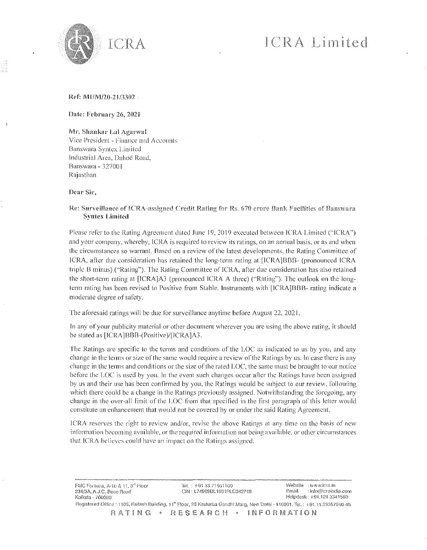

#### Ref: MUM/20-21/3302

Date: February 26, 2021

Mr. Shankar Lal Agarwal Vice President - Finance and Accounts Banswara Syrucx Limited lndustrial Area. Dahod Road. Banswarn - 32700 I Rajasthan

Dear Sir,

#### Re: Surveillance of ICRA-assigned Credit Rating for Rs. 670 crore Bank Facilities of Banswara Syutcx Limited

Please refer to the Rating Agreement dated June 19, 2019 executed between ICRA Limited ("ICRA") and your company, whereby, ICRA is required to review its ratings, on an annual basis, or as and when the circumstances so warrant. Based on a review of the latest developments, the Rating Committee of ICRA, after due consideration has retained the long-term rating at [ICRA]BBB- (pronounced ICRA triple B minus) ("Rating"). 'The Rating Committee of lCRA, after due consideration has also retained the short-term rating at  $[ICRA]A3$  (pronounced  $ICRA$  A three) ("Rating"). The outlook on the longterm rating has been revised to Positive from Stable. Instruments with [ICRA]BBB- rating indicate a moderate degree of safety.

The aforesaid ratings will be due for surveillance anytime before August 22, 2021.

In any of your publicity material or other document wherever you are using the above rating, it should be stated as [ICRA]BBB-(Positive)/[ICRA]A3.

The Ratings are specific to the terms and conditions of the LOC as indicated to us by you, and any change in the terms or size of the same would require a review ofthe Ratings by us. In case there is any change in the terms and conditions or the size ofthe rated L.OC, the same must be brought to our notice before the LOC is used by you, In the event such changes occur after the Ratings have been assigned by us and their usc has been confirmed by you, the Ratings would be subject to our review, following which there could be a change in the Ratings previously assigned. Notwithstanding the foregoing, any change in the over-all limit of the LOC from that specified in the first paragraph of this letter would constitute an enhancement that would not be covered by or under the said Rating Agreement.

lC'RA reserves the right to review and/or, revise the above Ratings at any time on the basis of new information becoming available, or the required information not being available, or other circumstances that ICRA believes could have an impact on the Ratings assigned.

FMC Fortuna, A-10 & 11, 3<sup>rd</sup> Floor '101 : +91.33.71501100<br>
234/3A, A.J.C. Bose Road '101 : 174999DL1991PLC 234/3A, AJ. (23 File of Cincinness Canada City of Cincinness City of City of City of City of City of City of C<br>234/3A, A.J.C. Bose Road City of City : L74999DL1991PLC042749 Email: info@icraindia.com<br>234/3A, A.J.C. Bose Roa Helpdesk : +91,124,3341580 Flegislered Office : 1105, Kailash Building, 11<sup>a</sup> Floor, 26 Kasturba Gandhi Marg, New Delhi - 110001. Tel. : +91.11.23357940-45 HATING · RESEARCH · INFORMATION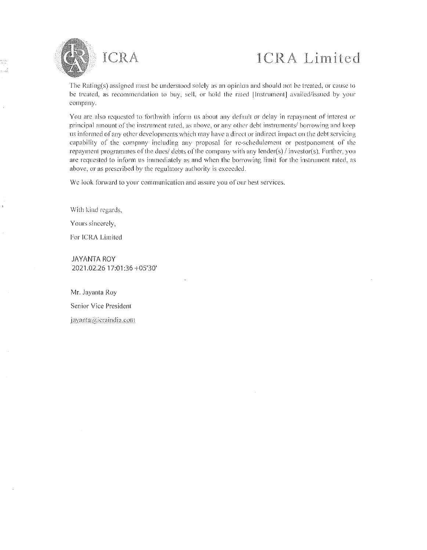

The Rating(s) assigned must be understood solely as an opinion and should not be treated, or cause to be treated, as recommendation to buy, sc!l, or hold the rated [lnsrrumcnt] availed/issued by your company.

You arc also requested to forthwith inform us about any default or delay in repayment of interest or principal amount of the instrument rated, as above, or any other debt instruments/ borrowing and keep us informed ofany other developments which may have a direct or indirect Impact onthe debt servicing capability of the company including any proposal for rc-schedulcmenr or postponement of the repayment programmes of the dues/ debts of the company with any lender(s)/investor(s). Further, you arc requested to inform us immediately as and when the borrowing limit for the instrument rated, as above, or as prescribed by the regulatory authority is exceeded.

We look forward to your communication and assure you of our best services.

With kind regards,

Yours sincerely,

For ICRA Limited

JAYANTA ROY 2021.02.2617:01 :36 ·105'30'

Mr. Jayanta Roy Senior Vice Presidentjayanta@icraindia.com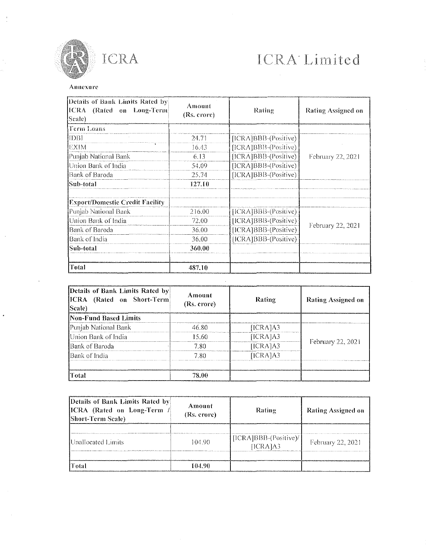

ICRA

#### Annexure

| [Details of Bank Limits Rated by]<br>ICRA (Rated on Long-Term)<br>Scale) | Amount<br>(Rs. crore) | Rating               | Rating Assigned on |
|--------------------------------------------------------------------------|-----------------------|----------------------|--------------------|
| Term Loans                                                               |                       |                      |                    |
| IIDBI                                                                    | 24.71                 | [ICRA]BBB-(Positive) | February 22, 2021  |
| IEXIM                                                                    | 16.43                 | [ICRA]BBB-(Positive) |                    |
| Punjab National Bank                                                     | 6.13                  | [ICRA]BBB-(Positive) |                    |
| Union Bank of India                                                      | 54.09                 | [ICRA]BBB-(Positive) |                    |
| Bank of Baroda                                                           | 25.74                 | [ICRA]BBB-(Positive) |                    |
| Sub-total                                                                | 127.10                |                      |                    |
| <b>Export/Domestic Credit Facility</b>                                   |                       |                      |                    |
| Punjab National Bank                                                     | 216.00                | [ICRA]BBB-(Positive) |                    |
| Union Bank of India                                                      | 72.00                 | [ICRA]BBB-(Positive) | February 22, 2021  |
| Bank of Baroda                                                           | 36.00                 | [ICRA]BBB-(Positive) |                    |
| Bank of India                                                            | 36.00                 | [ICRA]BBB-(Positive) |                    |
| Sub-total                                                                | 360.00                |                      |                    |
| Total                                                                    | 487.10                |                      |                    |

| Details of Bank Limits Rated by<br>ICRA (Rated on Short-Term)<br>Scale) | Amount<br>(Rs. crore) | Rating   | Rating Assigned on |
|-------------------------------------------------------------------------|-----------------------|----------|--------------------|
| Non-Fund Based Limits                                                   |                       |          |                    |
| Punjab National Bank                                                    | 46.RO                 | [ICRA]A3 |                    |
| Union Bank of India                                                     | 15.60                 | [ICRA]A3 |                    |
| Bank of Baroda                                                          | 7.80                  | [ICRA]A3 | February 22, 2021  |
| Bank of India                                                           | 7 80                  | HCRA1A3  |                    |
| Total                                                                   | 78 AA                 |          |                    |

| Details of Bank Limits Rated by<br>ICRA (Rated on Long-Term<br><b>Short-Term Scale</b> ) | Amount<br>(Rs. crore) | Rating                             | Rating Assigned on |
|------------------------------------------------------------------------------------------|-----------------------|------------------------------------|--------------------|
| <b>Unallocated Limits</b>                                                                | 104.90                | $[ICRA]BBB-(Positive)$<br>[ICRA]A3 | February 22, 2021  |
| Fotal                                                                                    | 104.90                |                                    |                    |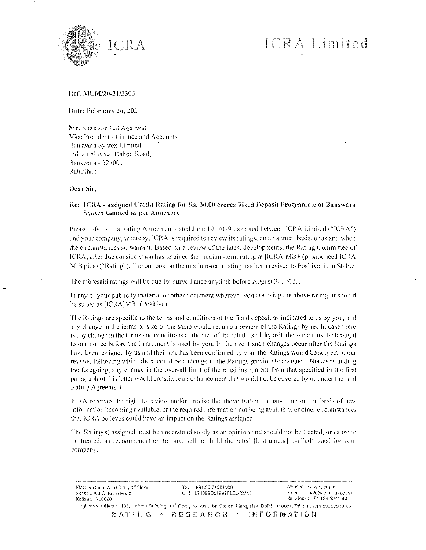

#### Ref: MUM/20-2l/3303

#### Date: February 26, 2021

Mr. Shankar La! Agarwa! Vice President - Finance and Accounts Banswara Syntex Limited Industrial Area, Dahod Road, Banswara - 32700 j Rajasthan

Dear Sir,

#### Re: ICRA - assigned Credit Rating for Rs. 30.00 crores Fixed Deposit Programme of Banswara Syntex Limited as per Annexure

Please refer to the Rating Agreement dated June 19, 2019 executed between ICRA Limited ("ICRA") and your company, whereby, lCRA is required to review its ratings, on an annual basis, or as and when the circumstances so warrant. Based on a review of the latest developments, the Rating Committee of ICRA, after due consideration has retained the medium-term rating at [ICRA]MB+ (pronounced ICRA M B plus) ("Rating"). The outlook on the medium-term rating has been revised to Positive from Stable.

The aforesaid ratings will be due for surveillance anytime before August 22, 2021.

In any of your publicity material or other document wherever you arc using the above rating, it should be stated as [ICRA]MB+(Positive).

The Ratings arc specific to the terms and conditions of the fixed deposit as indicated to us by you, and any change in the terms or size of the same would require a review of the Ratings by us. In case there is any change in the terms and conditions or the size of the rated fixed deposit, the same must be brought to our notice before the instrument is used by you. In the event such changes occur after the Ratings have been assigned by us and their use has been confirmed by you, the Ratings would be subject to our review, following which there could be a change in the Ratings previously assigned. Notwithstanding the foregoing, any change in the over-all limit of the rated instrument from that specified in the first paragraph ofthis letter would constitute an enhancement that would not be covered by or under the said Rating Agreement.

lCRA reserves the right to review and/or, revise the above Ratings at any time on the basis of new information becoming available, or the required information not being available, or other circumstances that ICRA believes could have an impact on the Ratings assigned.

The Rating(s) assigned must be understood solely as an opinion and should not be treated, or cause to be treated, as recommendation to buy, sell, or hold the ratcd [Instrument] availed/issued by your company.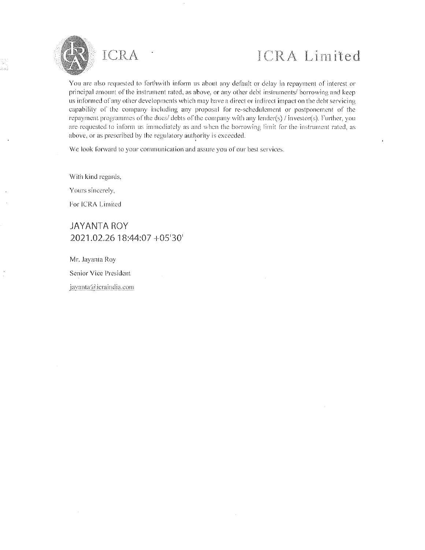

You arc also requested to forthwith inform us about any default or delay in repayment of interest or principal amount of the instrument rated, as above, or any other debt instruments/ borrowing and keep us informed of any other developments which may have a direct or indirect impact on the debt servicing capability of the company including any proposal for re-schedulement or postponement of the repayment programmes of the dues/ debts of the company with any lender(s) / investor(s). Further, you arc requested to inform us immediately as and when the borrowing limit for the instrument rated, as above, or as prescribed by the regulatory authority is exceeded.

We look forward to your communication and assure you of our best services.

With kind regards,

Yours sincerely,

For ICRA Limited

### JAYANTA ROY 2021.02.26 18:44:07 +05'30'

Mr. Jayanra Roy Senior Vice Presidentjavanta@icraindia.com